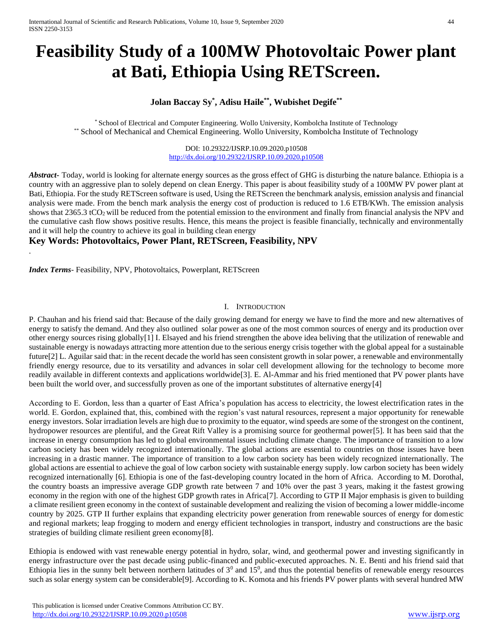# **Feasibility Study of a 100MW Photovoltaic Power plant at Bati, Ethiopia Using RETScreen.**

# **Jolan Baccay Sy\* , Adisu Haile\*\* , Wubishet Degife\*\***

\* School of Electrical and Computer Engineering. Wollo University, Kombolcha Institute of Technology \*\* School of Mechanical and Chemical Engineering. Wollo University, Kombolcha Institute of Technology

> DOI: 10.29322/IJSRP.10.09.2020.p10508 <http://dx.doi.org/10.29322/IJSRP.10.09.2020.p10508>

*Abstract***-** Today, world is looking for alternate energy sources as the gross effect of GHG is disturbing the nature balance. Ethiopia is a country with an aggressive plan to solely depend on clean Energy. This paper is about feasibility study of a 100MW PV power plant at Bati, Ethiopia. For the study RETScreen software is used, Using the RETScreen the benchmark analysis, emission analysis and financial analysis were made. From the bench mark analysis the energy cost of production is reduced to 1.6 ETB/KWh. The emission analysis shows that 2365.3 tCO<sub>2</sub> will be reduced from the potential emission to the environment and finally from financial analysis the NPV and the cumulative cash flow shows positive results. Hence, this means the project is feasible financially, technically and environmentally and it will help the country to achieve its goal in building clean energy

## **Key Words: Photovoltaics, Power Plant, RETScreen, Feasibility, NPV**

*Index Terms*- Feasibility, NPV, Photovoltaics, Powerplant, RETScreen

.

## I. INTRODUCTION

P. Chauhan and his friend said that: Because of the daily growing demand for energy we have to find the more and new alternatives of energy to satisfy the demand. And they also outlined solar power as one of the most common sources of energy and its production over other energy sources rising globally[1] I. Elsayed and his friend strengthen the above idea beliving that the utilization of renewable and sustainable energy is nowadays attracting more attention due to the serious energy crisis together with the global appeal for a sustainable future[2] L. Aguilar said that: in the recent decade the world has seen consistent growth in solar power, a renewable and environmentally friendly energy resource, due to its versatility and advances in solar cell development allowing for the technology to become more readily available in different contexts and applications worldwide[3]. E. Al-Ammar and his fried mentioned that PV power plants have been built the world over, and successfully proven as one of the important substitutes of alternative energy[4]

According to E. Gordon, less than a quarter of East Africa's population has access to electricity, the lowest electrification rates in the world. E. Gordon, explained that, this, combined with the region's vast natural resources, represent a major opportunity for renewable energy investors. Solar irradiation levels are high due to proximity to the equator, wind speeds are some of the strongest on the continent, hydropower resources are plentiful, and the Great Rift Valley is a promising source for geothermal power[5]. It has been said that the increase in energy consumption has led to global environmental issues including climate change. The importance of transition to a low carbon society has been widely recognized internationally. The global actions are essential to countries on those issues have been increasing in a drastic manner. The importance of transition to a low carbon society has been widely recognized internationally. The global actions are essential to achieve the goal of low carbon society with sustainable energy supply. low carbon society has been widely recognized internationally [6]. Ethiopia is one of the fast-developing country located in the horn of Africa. According to M. Dorothal, the country boasts an impressive average GDP growth rate between 7 and 10% over the past 3 years, making it the fastest growing economy in the region with one of the highest GDP growth rates in Africa[7]. According to GTP II Major emphasis is given to building a climate resilient green economy in the context of sustainable development and realizing the vision of becoming a lower middle-income country by 2025. GTP II further explains that expanding electricity power generation from renewable sources of energy for domestic and regional markets; leap frogging to modern and energy efficient technologies in transport, industry and constructions are the basic strategies of building climate resilient green economy[8].

Ethiopia is endowed with vast renewable energy potential in hydro, solar, wind, and geothermal power and investing significantly in energy infrastructure over the past decade using public-financed and public-executed approaches. N. E. Benti and his friend said that Ethiopia lies in the sunny belt between northern latitudes of  $3<sup>0</sup>$  and  $15<sup>0</sup>$ , and thus the potential benefits of renewable energy resources such as solar energy system can be considerable[9]. According to K. Komota and his friends PV power plants with several hundred MW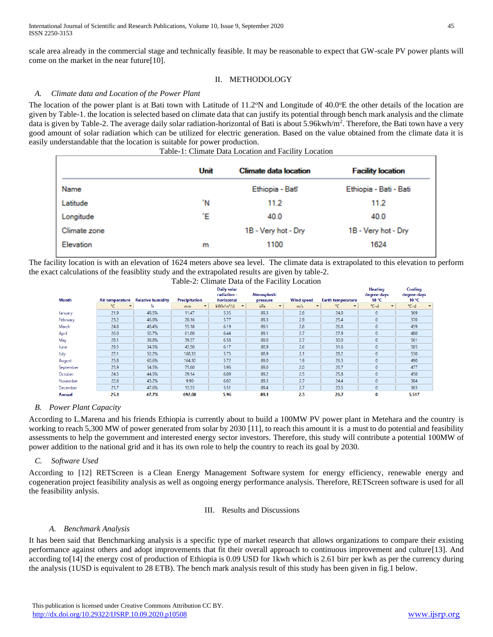scale area already in the commercial stage and technically feasible. It may be reasonable to expect that GW-scale PV power plants will come on the market in the near future[10].

## II. METHODOLOGY

## *A. Climate data and Location of the Power Plant*

The location of the power plant is at Bati town with Latitude of 11.2<sup>o</sup>N and Longitude of 40.0<sup>o</sup>E the other details of the location are given by Table-1. the location is selected based on climate data that can justify its potential through bench mark analysis and the climate data is given by Table-2. The average daily solar radiation-horizontal of Bati is about 5.96kwh/m<sup>2</sup>. Therefore, the Bati town have a very good amount of solar radiation which can be utilized for electric generation. Based on the value obtained from the climate data it is easily understandable that the location is suitable for power production.

| Table-1: Climate Data Location and Facility Location |  |  |
|------------------------------------------------------|--|--|
|                                                      |  |  |

|              | Unit | <b>Climate data location</b> | <b>Facility location</b> |
|--------------|------|------------------------------|--------------------------|
| Name         |      | Ethiopia - Batī              | Ethiopia - Bati - Bati   |
| Latitude     | 'N   | 11.2                         | 11.2                     |
| Longitude    | Έ    | 40.0                         | 40.0                     |
| Climate zone |      | 1B - Very hot - Dry          | 1B - Very hot - Dry      |
| Elevation    | m    | 1100                         | 1624                     |

The facility location is with an elevation of 1624 meters above sea level. The climate data is extrapolated to this elevation to perform the exact calculations of the feasiblity study and the extrapolated results are given by table-2.

| Table-2: Climate Data of the Facility Location |  |  |
|------------------------------------------------|--|--|

|               |                             |                          |                            | Daily solar                                       |                                 |                       |                                        | <b>Heating</b>       | Cooling              |
|---------------|-----------------------------|--------------------------|----------------------------|---------------------------------------------------|---------------------------------|-----------------------|----------------------------------------|----------------------|----------------------|
| <b>Month</b>  | Air temperature             | <b>Relative humidity</b> | <b>Precipitation</b>       | radiation -<br>horizontal                         | Atmospheric<br>pressure         | <b>Wind speed</b>     | <b>Earth temperature</b>               | degree-days<br>18 °C | degree-days<br>10 °C |
|               | °C.<br>$\blacktriangledown$ | %                        | $\blacktriangledown$<br>mm | kWh/m <sup>2</sup> /d<br>$\overline{\phantom{a}}$ | kPa<br>$\overline{\phantom{a}}$ | m/s<br>$\blacksquare$ | $^{\circ}$ C .<br>$\blacktriangledown$ | °C-d                 | °C-d                 |
| January       | 21.9                        | 49.5%                    | 11.47                      | 5.35                                              | 89.3                            | 2.8                   | 24.0                                   | $\Omega$             | 369                  |
| February      | 23.2                        | 46.0%                    | 20.16                      | 5.77                                              | 89.3                            | 2.9                   | 25.4                                   | $\mathbf{0}$         | 370                  |
| March         | 24.8                        | 48.4%                    | 55.18                      | 6.19                                              | 89.1                            | 2.8                   | 26.8                                   | $\mathbf{0}$         | 459                  |
| April         | 26.0                        | 50.7%                    | 61.80                      | 6.44                                              | 89.1                            | 2.7                   | 27.9                                   | $\mathbf{0}$         | 480                  |
| May           | 28.1                        | 39.8%                    | 39.37                      | 6.58                                              | 89.0                            | 2.7                   | 30.0                                   | $\circ$              | 561                  |
| June          | 29.5                        | 34.5%                    | 43.50                      | 6.17                                              | 88.9                            | 2.6                   | 31.6                                   | $\mathbf{0}$         | 585                  |
| July          | 27.1                        | 52.2%                    | 168.33                     | 5.75                                              | 88.9                            | 2.1                   | 28.2                                   | $\mathbf{0}$         | 530                  |
| August        | 25.8                        | 60.6%                    | 164.30                     | 5.72                                              | 89.0                            | 1.9                   | 26.3                                   | $\mathbf{0}$         | 490                  |
| September     | 25.9                        | 54.5%                    | 75.60                      | 5.96                                              | 89.0                            | 2.0                   | 26.7                                   | $\mathbf{0}$         | 477                  |
| October       | 24.5                        | 44.5%                    | 29.14                      | 6.09                                              | 89.2                            | 2.5                   | 25.8                                   | $\circ$              | 450                  |
| November      | 22.8                        | 43.2%                    | 9.90                       | 6.02                                              | 89.3                            | 2.7                   | 24.4                                   | $\mathbf{0}$         | 384                  |
| December      | 21.7                        | 47.6%                    | 13.33                      | 5.51                                              | 89.4                            | 2.7                   | 23.5                                   | $\mathbf{0}$         | 363                  |
| <b>Annual</b> | 25.1                        | 47.7%                    | 692.08                     | 5.96                                              | 89.1                            | 2.5                   | 26.7                                   | 0                    | 5,517                |

## *B. Power Plant Capacity*

According to L.Marena and his friends Ethiopia is currently about to build a 100MW PV power plant in Metehara and the country is working to reach 5,300 MW of power generated from solar by 2030 [11], to reach this amount it is a must to do potential and feasibility assessments to help the government and interested energy sector investors. Therefore, this study will contribute a potential 100MW of power addition to the national grid and it has its own role to help the country to reach its goal by 2030.

## *C. Software Used*

According to [12] RETScreen is a Clean Energy Management Software system for energy efficiency, renewable energy and cogeneration project feasibility analysis as well as ongoing energy performance analysis. Therefore, RETScreen software is used for all the feasibility anlysis.

#### III. Results and Discussions

#### *A. Benchmark Analysis*

It has been said that Benchmarking analysis is a specific type of market research that allows organizations to compare their existing performance against others and adopt improvements that fit their overall approach to continuous improvement and culture[13]. And according to[14] the energy cost of production of Ethiopia is 0.09 USD for 1kwh which is 2.61 birr per kwh as per the currency during the analysis (1USD is equivalent to 28 ETB). The bench mark analysis result of this study has been given in fig.1 below.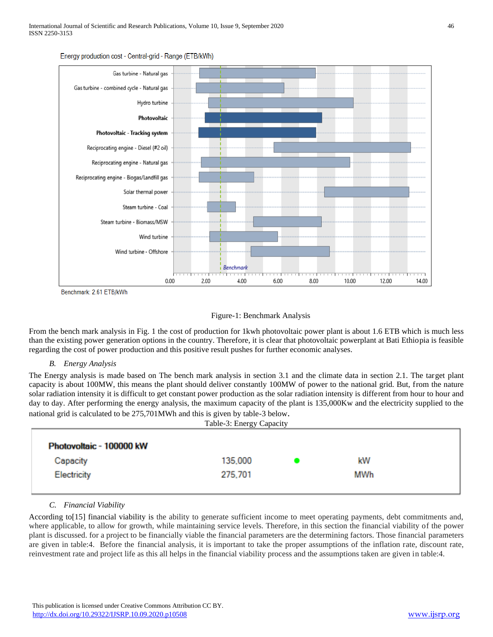

Energy production cost - Central-grid - Range (ETB/kWh)

Benchmark: 2.61 ETB/kWh



From the bench mark analysis in Fig. 1 the cost of production for 1kwh photovoltaic power plant is about 1.6 ETB which is much less than the existing power generation options in the country. Therefore, it is clear that photovoltaic powerplant at Bati Ethiopia is feasible regarding the cost of power production and this positive result pushes for further economic analyses.

#### *B. Energy Analysis*

The Energy analysis is made based on The bench mark analysis in section 3.1 and the climate data in section 2.1. The target plant capacity is about 100MW, this means the plant should deliver constantly 100MW of power to the national grid. But, from the nature solar radiation intensity it is difficult to get constant power production as the solar radiation intensity is different from hour to hour and day to day. After performing the energy analysis, the maximum capacity of the plant is 135,000Kw and the electricity supplied to the national grid is calculated to be 275,701MWh and this is given by table-3 below.  $T<sub>1</sub>$  L<sub>1</sub>  $\sim$  2: Energy Capacity Capacity Capacity Capacity Capacity Capacity Capacity Capacity Capacity Capacity Capacity Capacity Capacity Capacity Capacity Capacity Capacity Capacity Capacity Capacity Capacity C

|                          | Table-3: Energy Capacity |     |  |
|--------------------------|--------------------------|-----|--|
| Photovoltaic - 100000 kW |                          |     |  |
| Capacity                 | 135,000                  | kW  |  |
| Electricity              | 275,701                  | MWh |  |
|                          |                          |     |  |

## *C. Financial Viability*

According to[15] financial viability is the ability to generate sufficient income to meet operating payments, debt commitments and, where applicable, to allow for growth, while maintaining service levels. Therefore, in this section the financial viability of the power plant is discussed. for a project to be financially viable the financial parameters are the determining factors. Those financial parameters are given in table:4. Before the financial analysis, it is important to take the proper assumptions of the inflation rate, discount rate, reinvestment rate and project life as this all helps in the financial viability process and the assumptions taken are given in table:4.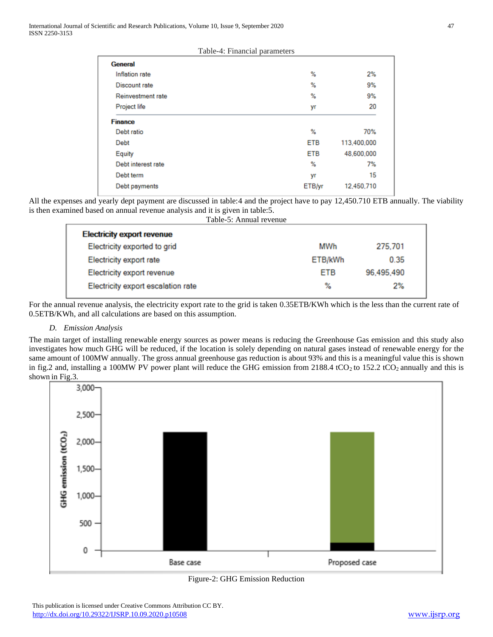|  | Table-4: Financial parameters |
|--|-------------------------------|
|  |                               |

| General             |            |             |
|---------------------|------------|-------------|
| Inflation rate      | ℅          | 2%          |
| Discount rate       | %          | 9%          |
| Reinvestment rate   | ℅          | 9%          |
| <b>Project life</b> | уr         | 20          |
| <b>Finance</b>      |            |             |
| Debt ratio          | ℅          | 70%         |
| Debt                | <b>ETB</b> | 113,400,000 |
| Equity              | <b>ETB</b> | 48,600,000  |
| Debt interest rate  | ℅          | 7%          |
| Debt term           | yr         | 15          |
| Debt payments       | ETB/yr     | 12.450.710  |
|                     |            |             |

All the expenses and yearly dept payment are discussed in table:4 and the project have to pay 12,450.710 ETB annually. The viability is then examined based on annual revenue analysis and it is given in table:5.

| Table-5: Annual revenue            |            |            |
|------------------------------------|------------|------------|
| <b>Electricity export revenue</b>  |            |            |
| Electricity exported to grid       | MWh        | 275,701    |
| Electricity export rate            | ETB/kWh    | 0.35       |
| Electricity export revenue         | <b>ETB</b> | 96,495,490 |
| Electricity export escalation rate | ℅          | 2%         |

For the annual revenue analysis, the electricity export rate to the grid is taken 0.35ETB/KWh which is the less than the current rate of 0.5ETB/KWh, and all calculations are based on this assumption.

## *D. Emission Analysis*

The main target of installing renewable energy sources as power means is reducing the Greenhouse Gas emission and this study also investigates how much GHG will be reduced, if the location is solely depending on natural gases instead of renewable energy for the same amount of 100MW annually. The gross annual greenhouse gas reduction is about 93% and this is a meaningful value this is shown in fig.2 and, installing a 100MW PV power plant will reduce the GHG emission from 2188.4 tCO<sub>2</sub> to 152.2 tCO<sub>2</sub> annually and this is shown in Fig.3.



Figure-2: GHG Emission Reduction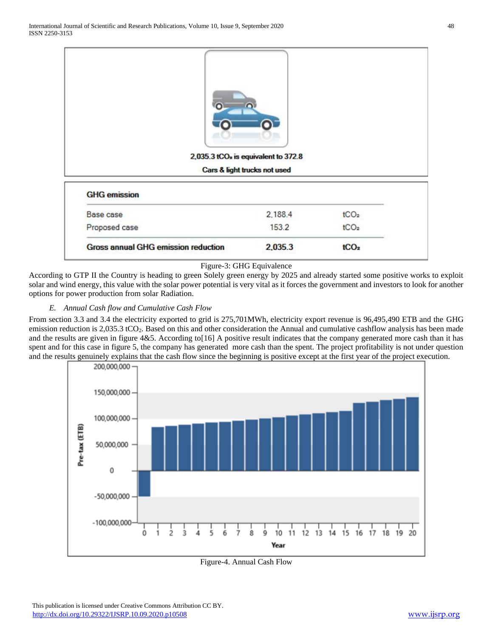|                     | r<br>2,035.3 tCO <sub>2</sub> is equivalent to 372.8 |                  |  |
|---------------------|------------------------------------------------------|------------------|--|
|                     | Cars & light trucks not used                         |                  |  |
| <b>GHG</b> emission |                                                      |                  |  |
| Base case           | 2,188.4                                              | tCO <sub>2</sub> |  |
| Proposed case       | 153.2                                                | tCO <sub>2</sub> |  |

#### Figure-3: GHG Equivalence

According to GTP II the Country is heading to green Solely green energy by 2025 and already started some positive works to exploit solar and wind energy, this value with the solar power potential is very vital as it forces the government and investors to look for another options for power production from solar Radiation.

## *E. Annual Cash flow and Cumulative Cash Flow*

From section 3.3 and 3.4 the electricity exported to grid is 275,701MWh, electricity export revenue is 96,495,490 ETB and the GHG emission reduction is 2,035.3 tCO<sub>2</sub>. Based on this and other consideration the Annual and cumulative cashflow analysis has been made and the results are given in figure 4&5. According to[16] A positive result indicates that the company generated more cash than it has spent and for this case in figure 5, the company has generated more cash than the spent. The project profitability is not under question and the results genuinely explains that the cash flow since the beginning is positive except at the first year of the project execution.



Figure-4. Annual Cash Flow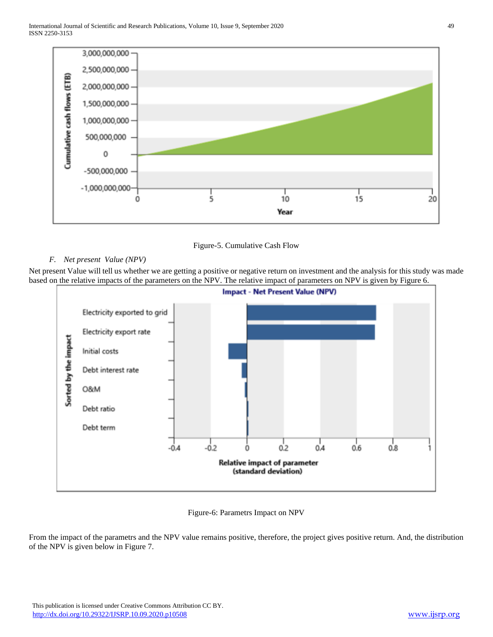

Figure-5. Cumulative Cash Flow

## *F. Net present Value (NPV)*

Net present Value will tell us whether we are getting a positive or negative return on investment and the analysis for this study was made based on the relative impacts of the parameters on the NPV. The relative impact of parameters on NPV is given by Figure 6.



## Figure-6: Parametrs Impact on NPV

From the impact of the parametrs and the NPV value remains positive, therefore, the project gives positive return. And, the distribution of the NPV is given below in Figure 7.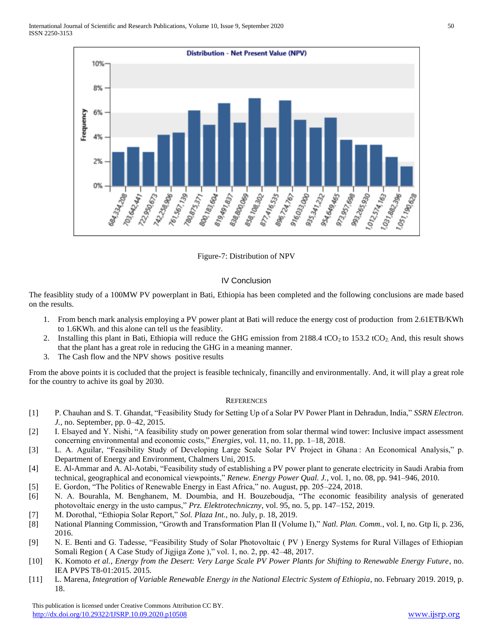

Figure-7: Distribution of NPV

## IV Conclusion

The feasiblity study of a 100MW PV powerplant in Bati, Ethiopia has been completed and the following conclusions are made based on the results.

- 1. From bench mark analysis employing a PV power plant at Bati will reduce the energy cost of production from 2.61ETB/KWh to 1.6KWh. and this alone can tell us the feasiblity.
- 2. Installing this plant in Bati, Ethiopia will reduce the GHG emission from  $2188.4 \text{ tCO}_2$  to  $153.2 \text{ tCO}_2$ . And, this result shows that the plant has a great role in reducing the GHG in a meaning manner.
- 3. The Cash flow and the NPV shows positive results

From the above points it is cocluded that the project is feasible technicaly, financilly and environmentally. And, it will play a great role for the country to achive its goal by 2030.

## **REFERENCES**

- [1] P. Chauhan and S. T. Ghandat, "Feasibility Study for Setting Up of a Solar PV Power Plant in Dehradun, India," *SSRN Electron. J.*, no. September, pp. 0–42, 2015.
- [2] I. Elsayed and Y. Nishi, "A feasibility study on power generation from solar thermal wind tower: Inclusive impact assessment concerning environmental and economic costs," *Energies*, vol. 11, no. 11, pp. 1–18, 2018.
- [3] L. A. Aguilar, "Feasibility Study of Developing Large Scale Solar PV Project in Ghana : An Economical Analysis," p. Department of Energy and Environment, Chalmers Uni, 2015.
- [4] E. Al-Ammar and A. Al-Aotabi, "Feasibility study of establishing a PV power plant to generate electricity in Saudi Arabia from technical, geographical and economical viewpoints," *Renew. Energy Power Qual. J.*, vol. 1, no. 08, pp. 941–946, 2010.
- [5] E. Gordon, "The Politics of Renewable Energy in East Africa," no. August, pp. 205–224, 2018.
- [6] N. A. Bourahla, M. Benghanem, M. Doumbia, and H. Bouzeboudja, "The economic feasibility analysis of generated photovoltaic energy in the usto campus," *Prz. Elektrotechniczny*, vol. 95, no. 5, pp. 147–152, 2019.
- [7] M. Dorothal, "Ethiopia Solar Report," *Sol. Plaza Int.*, no. July, p. 18, 2019.
- [8] National Planning Commission, "Growth and Transformation Plan II (Volume I)," *Natl. Plan. Comm.*, vol. I, no. Gtp Ii, p. 236, 2016.
- [9] N. E. Benti and G. Tadesse, "Feasibility Study of Solar Photovoltaic ( PV ) Energy Systems for Rural Villages of Ethiopian Somali Region ( A Case Study of Jigjiga Zone )," vol. 1, no. 2, pp. 42–48, 2017.
- [10] K. Komoto *et al.*, *Energy from the Desert: Very Large Scale PV Power Plants for Shifting to Renewable Energy Future*, no. IEA PVPS T8-01:2015. 2015.
- [11] L. Marena, *Integration of Variable Renewable Energy in the National Electric System of Ethiopia*, no. February 2019. 2019, p. 18.